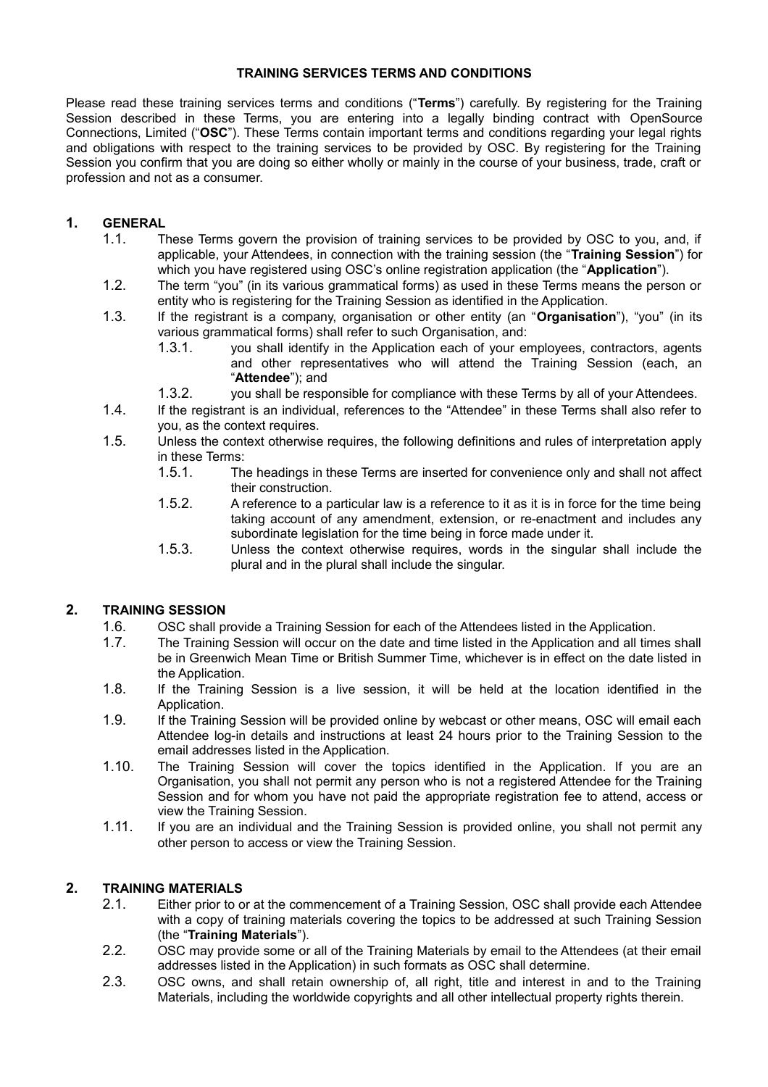#### **TRAINING SERVICES TERMS AND CONDITIONS**

Please read these training services terms and conditions ("**Terms**") carefully. By registering for the Training Session described in these Terms, you are entering into a legally binding contract with OpenSource Connections, Limited ("**OSC**"). These Terms contain important terms and conditions regarding your legal rights and obligations with respect to the training services to be provided by OSC. By registering for the Training Session you confirm that you are doing so either wholly or mainly in the course of your business, trade, craft or profession and not as a consumer.

# **1. GENERAL**

- 1.1. These Terms govern the provision of training services to be provided by OSC to you, and, if applicable, your Attendees, in connection with the training session (the "**Training Session**") for which you have registered using OSC's online registration application (the "**Application**").
- 1.2. The term "you" (in its various grammatical forms) as used in these Terms means the person or entity who is registering for the Training Session as identified in the Application.
- 1.3. If the registrant is a company, organisation or other entity (an "**Organisation**"), "you" (in its various grammatical forms) shall refer to such Organisation, and:
	- 1.3.1. you shall identify in the Application each of your employees, contractors, agents and other representatives who will attend the Training Session (each, an "**Attendee**"); and
	- 1.3.2. you shall be responsible for compliance with these Terms by all of your Attendees.
- 1.4. If the registrant is an individual, references to the "Attendee" in these Terms shall also refer to you, as the context requires.
- 1.5. Unless the context otherwise requires, the following definitions and rules of interpretation apply in these Terms:
	- 1.5.1. The headings in these Terms are inserted for convenience only and shall not affect their construction.
	- 1.5.2. A reference to a particular law is a reference to it as it is in force for the time being taking account of any amendment, extension, or re-enactment and includes any subordinate legislation for the time being in force made under it.
	- 1.5.3. Unless the context otherwise requires, words in the singular shall include the plural and in the plural shall include the singular.

# **2. TRAINING SESSION**

- 1.6. OSC shall provide a Training Session for each of the Attendees listed in the Application.
- 1.7. The Training Session will occur on the date and time listed in the Application and all times shall be in Greenwich Mean Time or British Summer Time, whichever is in effect on the date listed in the Application.
- 1.8. If the Training Session is a live session, it will be held at the location identified in the Application.
- 1.9. If the Training Session will be provided online by webcast or other means, OSC will email each Attendee log-in details and instructions at least 24 hours prior to the Training Session to the email addresses listed in the Application.
- 1.10. The Training Session will cover the topics identified in the Application. If you are an Organisation, you shall not permit any person who is not a registered Attendee for the Training Session and for whom you have not paid the appropriate registration fee to attend, access or view the Training Session.
- 1.11. If you are an individual and the Training Session is provided online, you shall not permit any other person to access or view the Training Session.

### **2. TRAINING MATERIALS**

- <span id="page-0-0"></span>2.1. Either prior to or at the commencement of a Training Session, OSC shall provide each Attendee with a copy of training materials covering the topics to be addressed at such Training Session (the "**Training Materials**").
- 2.2. OSC may provide some or all of the Training Materials by email to the Attendees (at their email addresses listed in the Application) in such formats as OSC shall determine.
- 2.3. OSC owns, and shall retain ownership of, all right, title and interest in and to the Training Materials, including the worldwide copyrights and all other intellectual property rights therein.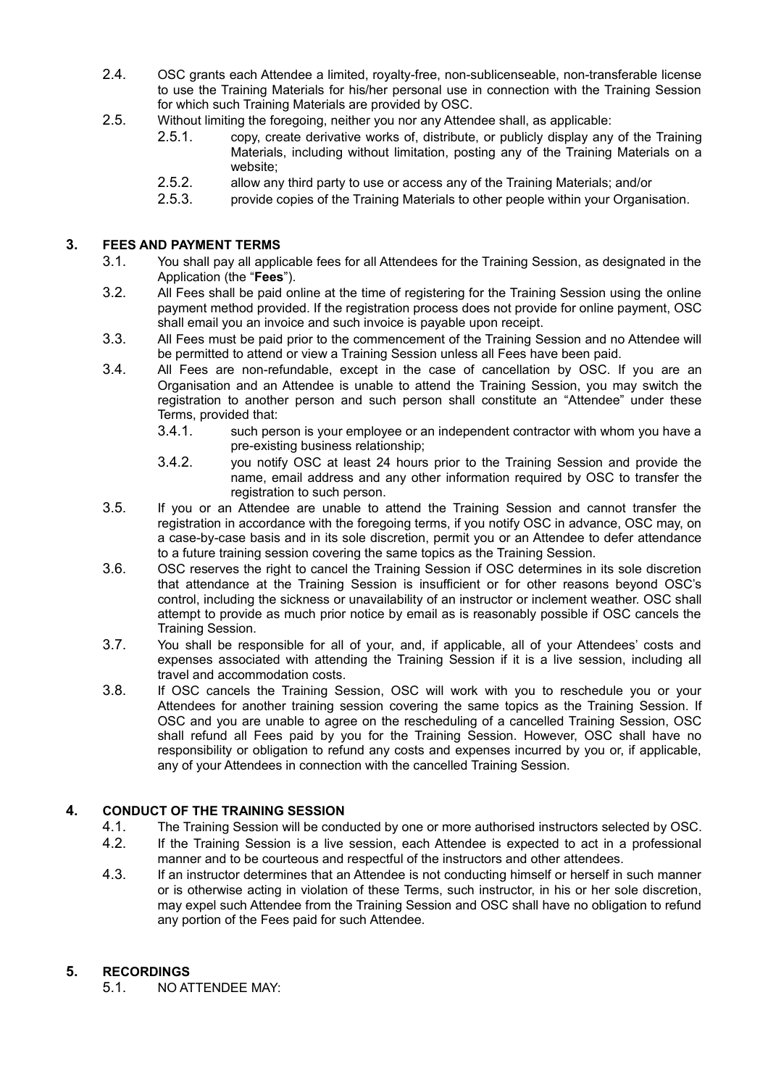- 2.4. OSC grants each Attendee a limited, royalty-free, non-sublicenseable, non-transferable license to use the Training Materials for his/her personal use in connection with the Training Session for which such Training Materials are provided by OSC.
- 2.5. Without limiting the foregoing, neither you nor any Attendee shall, as applicable:
	- 2.5.1. copy, create derivative works of, distribute, or publicly display any of the Training Materials, including without limitation, posting any of the Training Materials on a website;
	- 2.5.2. allow any third party to use or access any of the Training Materials; and/or
	- 2.5.3. provide copies of the Training Materials to other people within your Organisation.

### **3. FEES AND PAYMENT TERMS**

- 3.1. You shall pay all applicable fees for all Attendees for the Training Session, as designated in the Application (the "**Fees**").
- 3.2. All Fees shall be paid online at the time of registering for the Training Session using the online payment method provided. If the registration process does not provide for online payment, OSC shall email you an invoice and such invoice is payable upon receipt.
- 3.3. All Fees must be paid prior to the commencement of the Training Session and no Attendee will be permitted to attend or view a Training Session unless all Fees have been paid.
- 3.4. All Fees are non-refundable, except in the case of cancellation by OSC. If you are an Organisation and an Attendee is unable to attend the Training Session, you may switch the registration to another person and such person shall constitute an "Attendee" under these Terms, provided that:
	- 3.4.1. such person is your employee or an independent contractor with whom you have a pre-existing business relationship;
	- 3.4.2. you notify OSC at least 24 hours prior to the Training Session and provide the name, email address and any other information required by OSC to transfer the registration to such person.
- 3.5. If you or an Attendee are unable to attend the Training Session and cannot transfer the registration in accordance with the foregoing terms, if you notify OSC in advance, OSC may, on a case-by-case basis and in its sole discretion, permit you or an Attendee to defer attendance to a future training session covering the same topics as the Training Session.
- 3.6. OSC reserves the right to cancel the Training Session if OSC determines in its sole discretion that attendance at the Training Session is insufficient or for other reasons beyond OSC's control, including the sickness or unavailability of an instructor or inclement weather. OSC shall attempt to provide as much prior notice by email as is reasonably possible if OSC cancels the Training Session.
- 3.7. You shall be responsible for all of your, and, if applicable, all of your Attendees' costs and expenses associated with attending the Training Session if it is a live session, including all travel and accommodation costs.
- 3.8. If OSC cancels the Training Session, OSC will work with you to reschedule you or your Attendees for another training session covering the same topics as the Training Session. If OSC and you are unable to agree on the rescheduling of a cancelled Training Session, OSC shall refund all Fees paid by you for the Training Session. However, OSC shall have no responsibility or obligation to refund any costs and expenses incurred by you or, if applicable, any of your Attendees in connection with the cancelled Training Session.

# **4. CONDUCT OF THE TRAINING SESSION**

- 4.1. The Training Session will be conducted by one or more authorised instructors selected by OSC.<br>4.2. If the Training Session is a live session, each Attendee is expected to act in a professional
- If the Training Session is a live session, each Attendee is expected to act in a professional manner and to be courteous and respectful of the instructors and other attendees.
- 4.3. If an instructor determines that an Attendee is not conducting himself or herself in such manner or is otherwise acting in violation of these Terms, such instructor, in his or her sole discretion, may expel such Attendee from the Training Session and OSC shall have no obligation to refund any portion of the Fees paid for such Attendee.

# **5. RECORDINGS**

5.1. NO ATTENDEE MAY: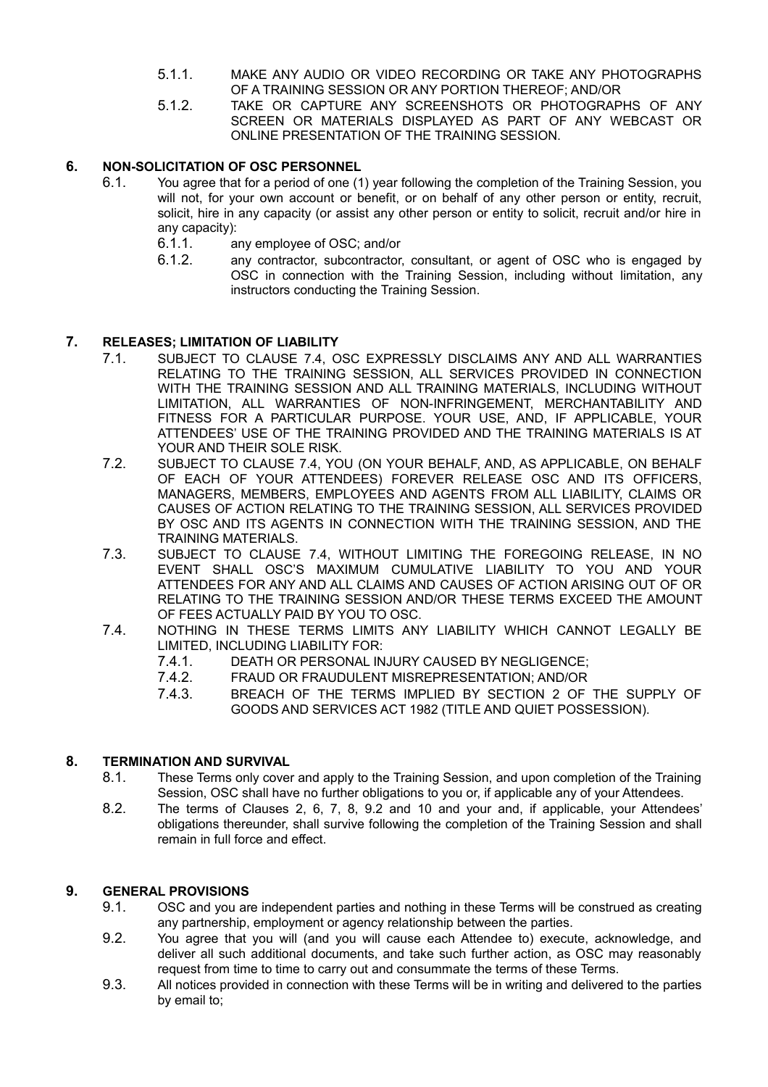- 5.1.1. MAKE ANY AUDIO OR VIDEO RECORDING OR TAKE ANY PHOTOGRAPHS OF A TRAINING SESSION OR ANY PORTION THEREOF; AND/OR
- 5.1.2. TAKE OR CAPTURE ANY SCREENSHOTS OR PHOTOGRAPHS OF ANY SCREEN OR MATERIALS DISPLAYED AS PART OF ANY WEBCAST OR ONLINE PRESENTATION OF THE TRAINING SESSION.

### **6. NON-SOLICITATION OF OSC PERSONNEL**

- <span id="page-2-4"></span>6.1. You agree that for a period of one (1) year following the completion of the Training Session, you will not, for your own account or benefit, or on behalf of any other person or entity, recruit, solicit, hire in any capacity (or assist any other person or entity to solicit, recruit and/or hire in any capacity):
	- 6.1.1. any employee of OSC; and/or
	- 6.1.2. any contractor, subcontractor, consultant, or agent of OSC who is engaged by OSC in connection with the Training Session, including without limitation, any instructors conducting the Training Session.

#### **7. RELEASES; LIMITATION OF LIABILITY**

- <span id="page-2-3"></span>7.1. SUBJECT TO CLAUSE [7.4,](#page-2-0) OSC EXPRESSLY DISCLAIMS ANY AND ALL WARRANTIES RELATING TO THE TRAINING SESSION, ALL SERVICES PROVIDED IN CONNECTION WITH THE TRAINING SESSION AND ALL TRAINING MATERIALS, INCLUDING WITHOUT LIMITATION, ALL WARRANTIES OF NON-INFRINGEMENT, MERCHANTABILITY AND FITNESS FOR A PARTICULAR PURPOSE. YOUR USE, AND, IF APPLICABLE, YOUR ATTENDEES' USE OF THE TRAINING PROVIDED AND THE TRAINING MATERIALS IS AT YOUR AND THEIR SOLE RISK.
- 7.2. SUBJECT TO CLAUSE [7.4,](#page-2-0) YOU (ON YOUR BEHALF, AND, AS APPLICABLE, ON BEHALF OF EACH OF YOUR ATTENDEES) FOREVER RELEASE OSC AND ITS OFFICERS, MANAGERS, MEMBERS, EMPLOYEES AND AGENTS FROM ALL LIABILITY, CLAIMS OR CAUSES OF ACTION RELATING TO THE TRAINING SESSION, ALL SERVICES PROVIDED BY OSC AND ITS AGENTS IN CONNECTION WITH THE TRAINING SESSION, AND THE TRAINING MATERIALS.
- 7.3. SUBJECT TO CLAUSE [7.4,](#page-2-0) WITHOUT LIMITING THE FOREGOING RELEASE, IN NO EVENT SHALL OSC'S MAXIMUM CUMULATIVE LIABILITY TO YOU AND YOUR ATTENDEES FOR ANY AND ALL CLAIMS AND CAUSES OF ACTION ARISING OUT OF OR RELATING TO THE TRAINING SESSION AND/OR THESE TERMS EXCEED THE AMOUNT OF FEES ACTUALLY PAID BY YOU TO OSC.
- <span id="page-2-0"></span>7.4. NOTHING IN THESE TERMS LIMITS ANY LIABILITY WHICH CANNOT LEGALLY BE LIMITED, INCLUDING LIABILITY FOR:
	- 7.4.1. DEATH OR PERSONAL INJURY CAUSED BY NEGLIGENCE;
	- 7.4.2. FRAUD OR FRAUDULENT MISREPRESENTATION; AND/OR
	- 7.4.3. BREACH OF THE TERMS IMPLIED BY SECTION 2 OF THE SUPPLY OF GOODS AND SERVICES ACT 1982 (TITLE AND QUIET POSSESSION).

#### **8. TERMINATION AND SURVIVAL**

- <span id="page-2-2"></span>8.1. These Terms only cover and apply to the Training Session, and upon completion of the Training Session, OSC shall have no further obligations to you or, if applicable any of your Attendees.
- 8.2. The terms of Clauses [2,](#page-0-0) [6,](#page-2-4) [7,](#page-2-3) [8,](#page-2-2) [9.2](#page-2-1) and [10](#page-3-0) and your and, if applicable, your Attendees' obligations thereunder, shall survive following the completion of the Training Session and shall remain in full force and effect.

### **9. GENERAL PROVISIONS**

- 9.1. OSC and you are independent parties and nothing in these Terms will be construed as creating any partnership, employment or agency relationship between the parties.
- <span id="page-2-1"></span>9.2. You agree that you will (and you will cause each Attendee to) execute, acknowledge, and deliver all such additional documents, and take such further action, as OSC may reasonably request from time to time to carry out and consummate the terms of these Terms.
- 9.3. All notices provided in connection with these Terms will be in writing and delivered to the parties by email to;